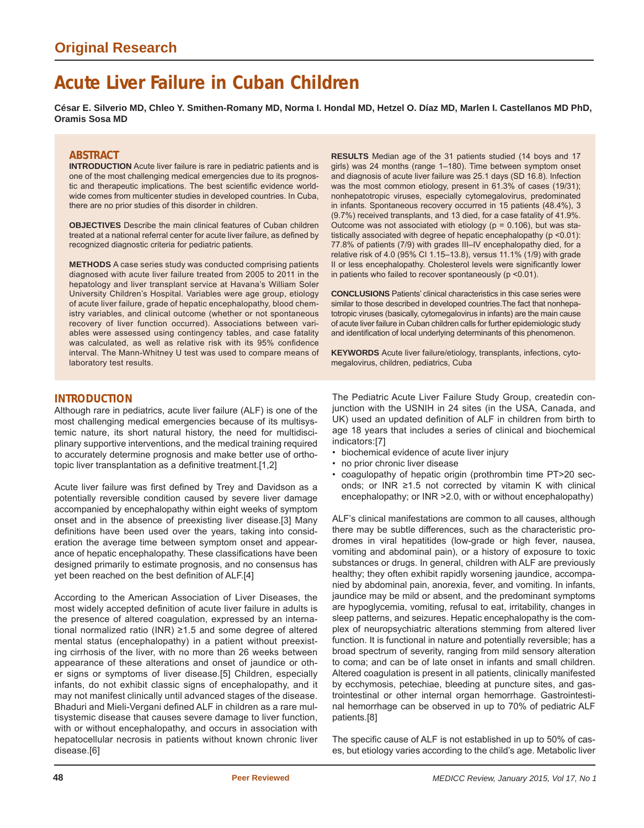# **Acute Liver Failure in Cuban Children**

**César E. Silverio MD, Chleo Y. Smithen-Romany MD, Norma I. Hondal MD, Hetzel O. Díaz MD, Marlen I. Castellanos MD PhD, Oramis Sosa MD**

## **ABSTRACT**

**INTRODUCTION** Acute liver failure is rare in pediatric patients and is one of the most challenging medical emergencies due to its prognostic and therapeutic implications. The best scientific evidence worldwide comes from multicenter studies in developed countries. In Cuba, there are no prior studies of this disorder in children.

**OBJECTIVES** Describe the main clinical features of Cuban children treated at a national referral center for acute liver failure, as defined by recognized diagnostic criteria for pediatric patients.

**METHODS** A case series study was conducted comprising patients diagnosed with acute liver failure treated from 2005 to 2011 in the hepatology and liver transplant service at Havana's William Soler University Children's Hospital. Variables were age group, etiology of acute liver failure, grade of hepatic encephalopathy, blood chemistry variables, and clinical outcome (whether or not spontaneous recovery of liver function occurred). Associations between variables were assessed using contingency tables, and case fatality was calculated, as well as relative risk with its 95% confidence interval. The Mann-Whitney U test was used to compare means of laboratory test results.

**RESULTS** Median age of the 31 patients studied (14 boys and 17 girls) was 24 months (range 1–180). Time between symptom onset and diagnosis of acute liver failure was 25.1 days (SD 16.8). Infection was the most common etiology, present in 61.3% of cases (19/31); nonhepatotropic viruses, especially cytomegalovirus, predominated in infants. Spontaneous recovery occurred in 15 patients (48.4%), 3 (9.7%) received transplants, and 13 died, for a case fatality of 41.9%. Outcome was not associated with etiology ( $p = 0.106$ ), but was statistically associated with degree of hepatic encephalopathy (p <0.01): 77.8% of patients (7/9) with grades III–IV encephalopathy died, for a relative risk of 4.0 (95% CI 1.15–13.8), versus 11.1% (1/9) with grade II or less encephalopathy. Cholesterol levels were significantly lower in patients who failed to recover spontaneously (p <0.01).

**CONCLUSIONS** Patients' clinical characteristics in this case series were similar to those described in developed countries.The fact that nonhepatotropic viruses (basically, cytomegalovirus in infants) are the main cause of acute liver failure in Cuban children calls for further epidemiologic study and identification of local underlying determinants of this phenomenon.

**KEYWORDS** Acute liver failure/etiology, transplants, infections, cytomegalovirus, children, pediatrics, Cuba

## **INTRODUCTION**

Although rare in pediatrics, acute liver failure (ALF) is one of the most challenging medical emergencies because of its multisystemic nature, its short natural history, the need for multidisciplinary supportive interventions, and the medical training required to accurately determine prognosis and make better use of orthotopic liver transplantation as a definitive treatment.[1,2]

Acute liver failure was first defined by Trey and Davidson as a potentially reversible condition caused by severe liver damage accompanied by encephalopathy within eight weeks of symptom onset and in the absence of preexisting liver disease.[3] Many definitions have been used over the years, taking into consideration the average time between symptom onset and appearance of hepatic encephalopathy. These classifications have been designed primarily to estimate prognosis, and no consensus has yet been reached on the best definition of ALF.[4]

According to the American Association of Liver Diseases, the most widely accepted definition of acute liver failure in adults is the presence of altered coagulation, expressed by an international normalized ratio (INR) ≥1.5 and some degree of altered mental status (encephalopathy) in a patient without preexisting cirrhosis of the liver, with no more than 26 weeks between appearance of these alterations and onset of jaundice or other signs or symptoms of liver disease.[5] Children, especially infants, do not exhibit classic signs of encephalopathy, and it may not manifest clinically until advanced stages of the disease. Bhaduri and Mieli-Vergani defined ALF in children as a rare multisystemic disease that causes severe damage to liver function, with or without encephalopathy, and occurs in association with hepatocellular necrosis in patients without known chronic liver disease.[6]

The Pediatric Acute Liver Failure Study Group, createdin conjunction with the USNIH in 24 sites (in the USA, Canada, and UK) used an updated definition of ALF in children from birth to age 18 years that includes a series of clinical and biochemical indicators:[7]

- biochemical evidence of acute liver injury
- no prior chronic liver disease
- coagulopathy of hepatic origin (prothrombin time PT>20 seconds; or INR ≥1.5 not corrected by vitamin K with clinical encephalopathy; or INR >2.0, with or without encephalopathy)

ALF's clinical manifestations are common to all causes, although there may be subtle differences, such as the characteristic prodromes in viral hepatitides (low-grade or high fever, nausea, vomiting and abdominal pain), or a history of exposure to toxic substances or drugs. In general, children with ALF are previously healthy; they often exhibit rapidly worsening jaundice, accompanied by abdominal pain, anorexia, fever, and vomiting. In infants, jaundice may be mild or absent, and the predominant symptoms are hypoglycemia, vomiting, refusal to eat, irritability, changes in sleep patterns, and seizures. Hepatic encephalopathy is the complex of neuropsychiatric alterations stemming from altered liver function. It is functional in nature and potentially reversible; has a broad spectrum of severity, ranging from mild sensory alteration to coma; and can be of late onset in infants and small children. Altered coagulation is present in all patients, clinically manifested by ecchymosis, petechiae, bleeding at puncture sites, and gastrointestinal or other internal organ hemorrhage. Gastrointestinal hemorrhage can be observed in up to 70% of pediatric ALF patients.[8]

The specific cause of ALF is not established in up to 50% of cases, but etiology varies according to the child's age. Metabolic liver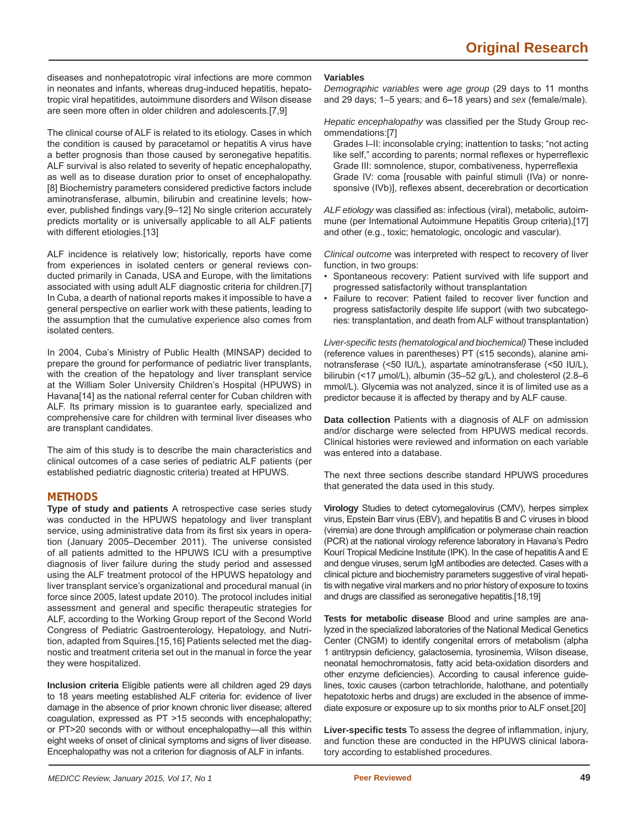diseases and nonhepatotropic viral infections are more common in neonates and infants, whereas drug-induced hepatitis, hepatotropic viral hepatitides, autoimmune disorders and Wilson disease are seen more often in older children and adolescents.[7,9]

The clinical course of ALF is related to its etiology. Cases in which the condition is caused by paracetamol or hepatitis A virus have a better prognosis than those caused by seronegative hepatitis. ALF survival is also related to severity of hepatic encephalopathy, as well as to disease duration prior to onset of encephalopathy. [8] Biochemistry parameters considered predictive factors include aminotransferase, albumin, bilirubin and creatinine levels; however, published findings vary.[9-12] No single criterion accurately predicts mortality or is universally applicable to all ALF patients with different etiologies.[13]

ALF incidence is relatively low; historically, reports have come from experiences in isolated centers or general reviews conducted primarily in Canada, USA and Europe, with the limitations associated with using adult ALF diagnostic criteria for children.[7] In Cuba, a dearth of national reports makes it impossible to have a general perspective on earlier work with these patients, leading to the assumption that the cumulative experience also comes from isolated centers.

In 2004, Cuba's Ministry of Public Health (MINSAP) decided to prepare the ground for performance of pediatric liver transplants, with the creation of the hepatology and liver transplant service at the William Soler University Children's Hospital (HPUWS) in Havana[14] as the national referral center for Cuban children with ALF. Its primary mission is to guarantee early, specialized and comprehensive care for children with terminal liver diseases who are transplant candidates.

The aim of this study is to describe the main characteristics and clinical outcomes of a case series of pediatric ALF patients (per established pediatric diagnostic criteria) treated at HPUWS.

## **METHODS**

**Type of study and patients** A retrospective case series study was conducted in the HPUWS hepatology and liver transplant service, using administrative data from its first six years in operation (January 2005–December 2011). The universe consisted of all patients admitted to the HPUWS ICU with a presumptive diagnosis of liver failure during the study period and assessed using the ALF treatment protocol of the HPUWS hepatology and liver transplant service's organizational and procedural manual (in force since 2005, latest update 2010). The protocol includes initial assessment and general and specific therapeutic strategies for ALF, according to the Working Group report of the Second World Congress of Pediatric Gastroenterology, Hepatology, and Nutrition, adapted from Squires.[15,16] Patients selected met the diagnostic and treatment criteria set out in the manual in force the year they were hospitalized.

**Inclusion criteria** Eligible patients were all children aged 29 days to 18 years meeting established ALF criteria for: evidence of liver damage in the absence of prior known chronic liver disease; altered coagulation, expressed as PT >15 seconds with encephalopathy; or PT>20 seconds with or without encephalopathy—all this within eight weeks of onset of clinical symptoms and signs of liver disease. Encephalopathy was not a criterion for diagnosis of ALF in infants.

#### **Variables**

*Demographic variables* were *age group* (29 days to 11 months and 29 days; 1–5 years; and 6**–**18 years) and *sex* (female/male).

*Hepatic encephalopathy* was classified per the Study Group recommendations:[7]

Grades I–II: inconsolable crying; inattention to tasks; "not acting like self," according to parents; normal reflexes or hyperreflexic Grade III: somnolence, stupor, combativeness, hyperreflexia Grade IV: coma [rousable with painful stimuli (IVa) or nonresponsive (IVb)], reflexes absent, decerebration or decortication

ALF etiology was classified as: infectious (viral), metabolic, autoimmune (per International Autoimmune Hepatitis Group criteria),[17] and other (e.g., toxic; hematologic, oncologic and vascular).

*Clinical outcome* was interpreted with respect to recovery of liver function, in two groups:

- Spontaneous recovery: Patient survived with life support and progressed satisfactorily without transplantation
- Failure to recover: Patient failed to recover liver function and progress satisfactorily despite life support (with two subcategories: transplantation, and death from ALF without transplantation)

*Liver-specifi c tests (hematological and biochemical)* These included (reference values in parentheses) PT (≤15 seconds), alanine aminotransferase (<50 IU/L), aspartate aminotransferase (<50 IU/L), bilirubin (<17 μmol/L), albumin (35–52 g/L), and cholesterol (2.8–6 mmol/L). Glycemia was not analyzed, since it is of limited use as a predictor because it is affected by therapy and by ALF cause.

**Data collection** Patients with a diagnosis of ALF on admission and/or discharge were selected from HPUWS medical records. Clinical histories were reviewed and information on each variable was entered into a database.

The next three sections describe standard HPUWS procedures that generated the data used in this study.

**Virology** Studies to detect cytomegalovirus (CMV), herpes simplex virus, Epstein Barr virus (EBV), and hepatitis B and C viruses in blood (viremia) are done through amplification or polymerase chain reaction (PCR) at the national virology reference laboratory in Havana's Pedro Kourí Tropical Medicine Institute (IPK). In the case of hepatitis A and E and dengue viruses, serum IgM antibodies are detected. Cases with a clinical picture and biochemistry parameters suggestive of viral hepatitis with negative viral markers and no prior history of exposure to toxins and drugs are classified as seronegative hepatitis.[18,19]

**Tests for metabolic disease** Blood and urine samples are analyzed in the specialized laboratories of the National Medical Genetics Center (CNGM) to identify congenital errors of metabolism (alpha 1 antitrypsin deficiency, galactosemia, tyrosinemia, Wilson disease, neonatal hemochromatosis, fatty acid beta-oxidation disorders and other enzyme deficiencies). According to causal inference guidelines, toxic causes (carbon tetrachloride, halothane, and potentially hepatotoxic herbs and drugs) are excluded in the absence of immediate exposure or exposure up to six months prior to ALF onset.[20]

Liver-specific tests To assess the degree of inflammation, injury, and function these are conducted in the HPUWS clinical laboratory according to established procedures.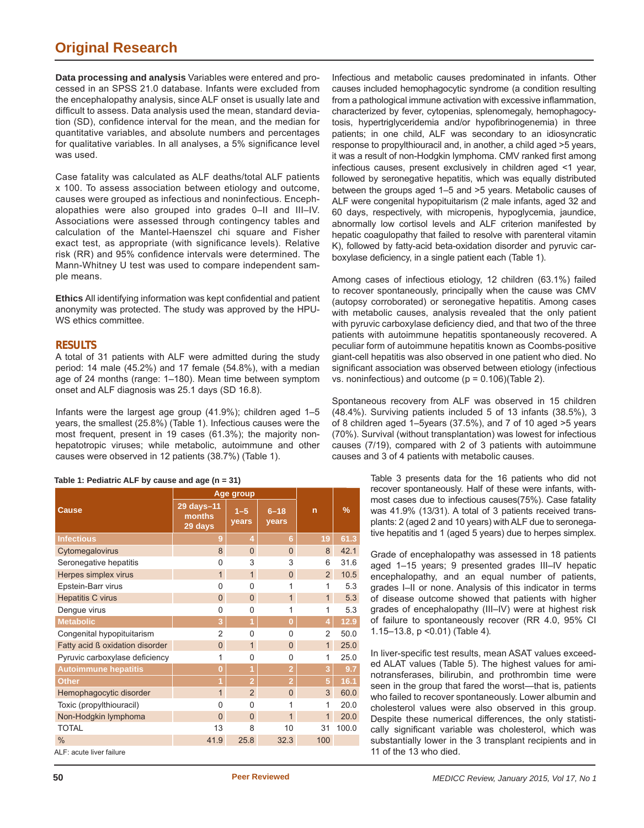## **Original Research**

**Data processing and analysis** Variables were entered and processed in an SPSS 21.0 database. Infants were excluded from the encephalopathy analysis, since ALF onset is usually late and difficult to assess. Data analysis used the mean, standard deviation (SD), confidence interval for the mean, and the median for quantitative variables, and absolute numbers and percentages for qualitative variables. In all analyses, a 5% significance level was used.

Case fatality was calculated as ALF deaths/total ALF patients x 100. To assess association between etiology and outcome, causes were grouped as infectious and noninfectious. Encephalopathies were also grouped into grades 0–II and III–IV. Associations were assessed through contingency tables and calculation of the Mantel-Haenszel chi square and Fisher exact test, as appropriate (with significance levels). Relative risk (RR) and 95% confidence intervals were determined. The Mann-Whitney U test was used to compare independent sample means.

**Ethics** All identifying information was kept confidential and patient anonymity was protected. The study was approved by the HPU-WS ethics committee.

## **RESULTS**

A total of 31 patients with ALF were admitted during the study period: 14 male (45.2%) and 17 female (54.8%), with a median age of 24 months (range: 1–180). Mean time between symptom onset and ALF diagnosis was 25.1 days (SD 16.8).

Infants were the largest age group (41.9%); children aged 1–5 years, the smallest (25.8%) (Table 1). Infectious causes were the most frequent, present in 19 cases (61.3%); the majority nonhepatotropic viruses; while metabolic, autoimmune and other causes were observed in 12 patients (38.7%) (Table 1).

|  | Table 1: Pediatric ALF by cause and age (n = 31) |  |  |  |  |  |  |
|--|--------------------------------------------------|--|--|--|--|--|--|
|--|--------------------------------------------------|--|--|--|--|--|--|

|                                 | Age group                       |                  |                   |                |       |
|---------------------------------|---------------------------------|------------------|-------------------|----------------|-------|
| <b>Cause</b>                    | 29 days-11<br>months<br>29 days | $1 - 5$<br>years | $6 - 18$<br>years | n              | %     |
| <b>Infectious</b>               | 9                               | 4                | 6                 | 19             | 61.3  |
| Cytomegalovirus                 | 8                               | $\mathbf{0}$     | $\Omega$          | 8              | 42.1  |
| Seronegative hepatitis          | $\mathbf{0}$                    | 3                | 3                 | 6              | 31.6  |
| Herpes simplex virus            | $\overline{1}$                  | $\mathbf{1}$     | $\overline{0}$    | 2              | 10.5  |
| Epstein-Barr virus              | $\Omega$                        | $\Omega$         | 1                 | 1              | 5.3   |
| <b>Hepatitis C virus</b>        | $\Omega$                        | $\overline{0}$   | 1                 | $\mathbf{1}$   | 5.3   |
| Dengue virus                    | 0                               | 0                | 1                 | 1              | 5.3   |
| <b>Metabolic</b>                | 3                               | $\overline{1}$   | $\overline{0}$    | 4              | 12.9  |
| Congenital hypopituitarism      | $\overline{2}$                  | $\mathbf{0}$     | 0                 | $\overline{2}$ | 50.0  |
| Fatty acid ß oxidation disorder | $\overline{0}$                  | $\mathbf{1}$     | $\overline{0}$    | $\mathbf{1}$   | 25.0  |
| Pyruvic carboxylase deficiency  | 1                               | $\Omega$         | $\Omega$          | 1              | 25.0  |
| <b>Autoimmune hepatitis</b>     | $\overline{0}$                  | $\overline{1}$   | $\overline{2}$    | 3              | 9.7   |
| <b>Other</b>                    | 1                               | $\overline{2}$   | $\overline{2}$    | 5              | 16.1  |
| Hemophagocytic disorder         | $\overline{1}$                  | $\overline{2}$   | $\Omega$          | 3              | 60.0  |
| Toxic (propylthiouracil)        | 0                               | 0                | 1                 | 1              | 20.0  |
| Non-Hodgkin lymphoma            | $\Omega$                        | $\overline{0}$   | 1                 | 1              | 20.0  |
| <b>TOTAL</b>                    | 13                              | 8                | 10                | 31             | 100.0 |
| $\frac{0}{0}$                   | 41.9                            | 25.8             | 32.3              | 100            |       |
| ALE: acute liver failure        |                                 |                  |                   |                |       |

ALF: acute liver failure

Infectious and metabolic causes predominated in infants. Other causes included hemophagocytic syndrome (a condition resulting from a pathological immune activation with excessive inflammation, characterized by fever, cytopenias, splenomegaly, hemophagocytosis, hypertriglyceridemia and/or hypofibrinogenemia) in three patients; in one child, ALF was secondary to an idiosyncratic response to propylthiouracil and, in another, a child aged >5 years, it was a result of non-Hodgkin lymphoma. CMV ranked first among infectious causes, present exclusively in children aged <1 year, followed by seronegative hepatitis, which was equally distributed between the groups aged 1–5 and >5 years. Metabolic causes of ALF were congenital hypopituitarism (2 male infants, aged 32 and 60 days, respectively, with micropenis, hypoglycemia, jaundice, abnormally low cortisol levels and ALF criterion manifested by hepatic coagulopathy that failed to resolve with parenteral vitamin K), followed by fatty-acid beta-oxidation disorder and pyruvic carboxylase deficiency, in a single patient each (Table 1).

Among cases of infectious etiology, 12 children (63.1%) failed to recover spontaneously, principally when the cause was CMV (autopsy corroborated) or seronegative hepatitis. Among cases with metabolic causes, analysis revealed that the only patient with pyruvic carboxylase deficiency died, and that two of the three patients with autoimmune hepatitis spontaneously recovered. A peculiar form of autoimmune hepatitis known as Coombs-positive giant-cell hepatitis was also observed in one patient who died. No significant association was observed between etiology (infectious vs. noninfectious) and outcome (p = 0.106)(Table 2).

Spontaneous recovery from ALF was observed in 15 children (48.4%). Surviving patients included 5 of 13 infants (38.5%), 3 of 8 children aged 1–5years (37.5%), and 7 of 10 aged >5 years (70%). Survival (without transplantation) was lowest for infectious causes (7/19), compared with 2 of 3 patients with autoimmune causes and 3 of 4 patients with metabolic causes.

> Table 3 presents data for the 16 patients who did not recover spontaneously. Half of these were infants, withmost cases due to infectious causes(75%). Case fatality was 41.9% (13/31). A total of 3 patients received transplants: 2 (aged 2 and 10 years) with ALF due to seronegative hepatitis and 1 (aged 5 years) due to herpes simplex.

> Grade of encephalopathy was assessed in 18 patients aged 1–15 years; 9 presented grades III–IV hepatic encephalopathy, and an equal number of patients, grades I–II or none. Analysis of this indicator in terms of disease outcome showed that patients with higher grades of encephalopathy (III–IV) were at highest risk of failure to spontaneously recover (RR 4.0, 95% CI 1.15–13.8, p <0.01) (Table 4)*.*

> In liver-specific test results, mean ASAT values exceeded ALAT values (Table 5). The highest values for aminotransferases, bilirubin, and prothrombin time were seen in the group that fared the worst—that is, patients who failed to recover spontaneously. Lower albumin and cholesterol values were also observed in this group. Despite these numerical differences, the only statistically significant variable was cholesterol, which was substantially lower in the 3 transplant recipients and in 11 of the 13 who died.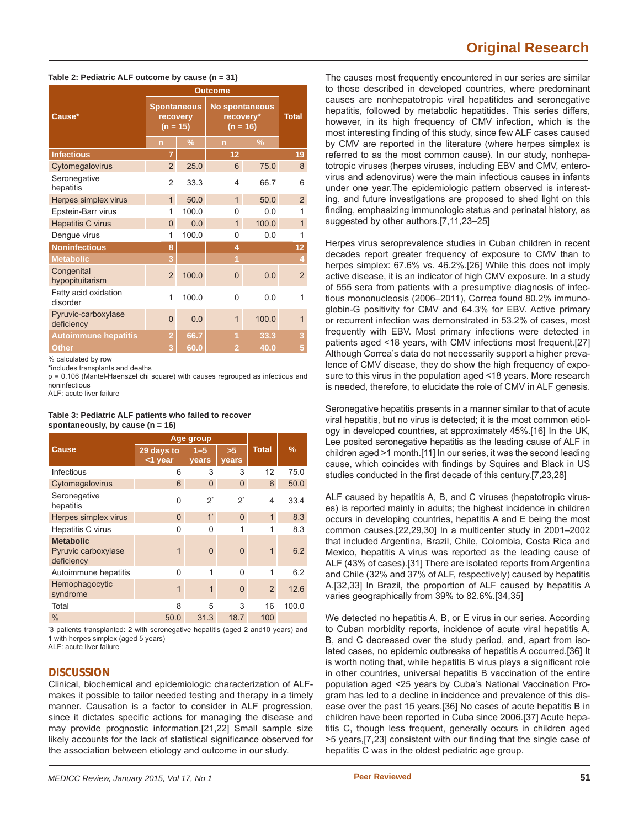## **Original Research**

#### **Table 2: Pediatric ALF outcome by cause (n = 31)**

| Cause*                            | <b>Spontaneous</b><br>recovery<br>$(n = 15)$ |               | <b>No spontaneous</b><br>recovery*<br>$(n = 16)$ |       | <b>Total</b>   |  |
|-----------------------------------|----------------------------------------------|---------------|--------------------------------------------------|-------|----------------|--|
|                                   | $\overline{n}$                               | $\frac{9}{6}$ | $\overline{ }$                                   | $\%$  |                |  |
| <b>Infectious</b>                 | $\overline{7}$                               |               | 12                                               |       | 19             |  |
| Cytomegalovirus                   | $\overline{2}$                               | 25.0          | 6                                                | 75.0  | 8              |  |
| Seronegative<br>hepatitis         | $\overline{2}$                               | 33.3          | 4                                                | 66.7  | 6              |  |
| Herpes simplex virus              | $\overline{1}$                               | 50.0          | $\mathbf{1}$                                     | 50.0  | $\overline{2}$ |  |
| Epstein-Barr virus                | 1                                            | 100.0         | 0                                                | 0.0   | 1              |  |
| <b>Hepatitis C virus</b>          | $\overline{0}$                               | 0.0           | $\overline{1}$                                   | 100.0 | $\overline{1}$ |  |
| Dengue virus                      | 1                                            | 100.0         | 0                                                | 0.0   | 1              |  |
| <b>Noninfectious</b>              | 8                                            |               | 4                                                |       | 12             |  |
| <b>Metabolic</b>                  | 3                                            |               | $\overline{1}$                                   |       | 4              |  |
| Congenital<br>hypopituitarism     | $\overline{2}$                               | 100.0         | $\overline{0}$                                   | 0.0   | $\overline{2}$ |  |
| Fatty acid oxidation<br>disorder  | 1                                            | 100.0         | 0                                                | 0.0   | 1              |  |
| Pyruvic-carboxylase<br>deficiency | $\Omega$                                     | 0.0           | $\overline{1}$                                   | 100.0 | 1              |  |
| <b>Autoimmune hepatitis</b>       | $\overline{2}$                               | 66.7          | 1                                                | 33.3  | 3              |  |
| <b>Other</b>                      | 3                                            | 60.0          | $\overline{2}$                                   | 40.0  | 5              |  |

% calculated by row

\*includes transplants and deaths

p = 0.106 (Mantel-Haenszel chi square) with causes regrouped as infectious and noninfectious

ALF: acute liver failure

#### **Table 3: Pediatric ALF patients who failed to recover spontaneously, by cause (n = 16)**

|                                                       | Age group             |                  |                    |                          |       |
|-------------------------------------------------------|-----------------------|------------------|--------------------|--------------------------|-------|
| <b>Cause</b>                                          | 29 days to<br><1 year | $1 - 5$<br>years | >5<br><b>vears</b> | <b>Total</b>             | $\%$  |
| Infectious                                            | 6                     | 3                | 3                  | 12                       | 75.0  |
| Cytomegalovirus                                       | 6                     | $\Omega$         | $\Omega$           | 6                        | 50.0  |
| Seronegative<br>hepatitis                             | $\Omega$              | $2^*$            | $2^*$              | $\overline{\mathbf{4}}$  | 33.4  |
| Herpes simplex virus                                  | $\Omega$              | $1^*$            | $\Omega$           | $\overline{1}$           | 8.3   |
| Hepatitis C virus                                     | U                     | O                | 1                  | 1                        | 8.3   |
| <b>Metabolic</b><br>Pyruvic carboxylase<br>deficiency | 1                     | $\Omega$         | $\Omega$           | 1                        | 6.2   |
| Autoimmune hepatitis                                  | $\Omega$              | 1                | $\Omega$           | 1                        | 6.2   |
| Hemophagocytic<br>syndrome                            | 1                     | 1                | $\Omega$           | $\overline{\phantom{0}}$ | 12.6  |
| Total                                                 | 8                     | 5                | 3                  | 16                       | 100.0 |
| $\%$                                                  | 50.0                  | 31.3             | 18.7               | 100                      |       |

\* 3 patients transplanted: 2 with seronegative hepatitis (aged 2 and10 years) and 1 with herpes simplex (aged 5 years) ALF: acute liver failure

## **DISCUSSION**

Clinical, biochemical and epidemiologic characterization of ALFmakes it possible to tailor needed testing and therapy in a timely manner. Causation is a factor to consider in ALF progression, since it dictates specific actions for managing the disease and may provide prognostic information.[21,22] Small sample size likely accounts for the lack of statistical significance observed for the association between etiology and outcome in our study.

The causes most frequently encountered in our series are similar to those described in developed countries, where predominant causes are nonhepatotropic viral hepatitides and seronegative hepatitis, followed by metabolic hepatitides. This series differs, however, in its high frequency of CMV infection, which is the most interesting finding of this study, since few ALF cases caused by CMV are reported in the literature (where herpes simplex is referred to as the most common cause). In our study, nonhepatotropic viruses (herpes viruses, including EBV and CMV, enterovirus and adenovirus) were the main infectious causes in infants under one year.The epidemiologic pattern observed is interesting, and future investigations are proposed to shed light on this finding, emphasizing immunologic status and perinatal history, as suggested by other authors.[7,11,23–25]

Herpes virus seroprevalence studies in Cuban children in recent decades report greater frequency of exposure to CMV than to herpes simplex: 67.6% vs. 46.2%.[26] While this does not imply active disease, it is an indicator of high CMV exposure. In a study of 555 sera from patients with a presumptive diagnosis of infectious mononucleosis (2006–2011), Correa found 80.2% immunoglobin-G positivity for CMV and 64.3% for EBV. Active primary or recurrent infection was demonstrated in 53.2% of cases, most frequently with EBV. Most primary infections were detected in patients aged <18 years, with CMV infections most frequent.[27] Although Correa's data do not necessarily support a higher prevalence of CMV disease, they do show the high frequency of exposure to this virus in the population aged <18 years. More research is needed, therefore, to elucidate the role of CMV in ALF genesis.

Seronegative hepatitis presents in a manner similar to that of acute viral hepatitis, but no virus is detected; it is the most common etiology in developed countries, at approximately 45%.[16] In the UK, Lee posited seronegative hepatitis as the leading cause of ALF in children aged >1 month.[11] In our series, it was the second leading cause, which coincides with findings by Squires and Black in US studies conducted in the first decade of this century.[7,23,28]

ALF caused by hepatitis A, B, and C viruses (hepatotropic viruses) is reported mainly in adults; the highest incidence in children occurs in developing countries, hepatitis A and E being the most common causes.[22,29,30] In a multicenter study in 2001–2002 that included Argentina, Brazil, Chile, Colombia, Costa Rica and Mexico, hepatitis A virus was reported as the leading cause of ALF (43% of cases).[31] There are isolated reports from Argentina and Chile (32% and 37% of ALF, respectively) caused by hepatitis A.[32,33] In Brazil, the proportion of ALF caused by hepatitis A varies geographically from 39% to 82.6%.[34,35]

We detected no hepatitis A, B, or E virus in our series. According to Cuban morbidity reports, incidence of acute viral hepatitis A, B, and C decreased over the study period, and, apart from isolated cases, no epidemic outbreaks of hepatitis A occurred.[36] It is worth noting that, while hepatitis B virus plays a significant role in other countries, universal hepatitis B vaccination of the entire population aged <25 years by Cuba's National Vaccination Program has led to a decline in incidence and prevalence of this disease over the past 15 years.[36] No cases of acute hepatitis B in children have been reported in Cuba since 2006.[37] Acute hepatitis C, though less frequent, generally occurs in children aged >5 years, [7,23] consistent with our finding that the single case of hepatitis C was in the oldest pediatric age group.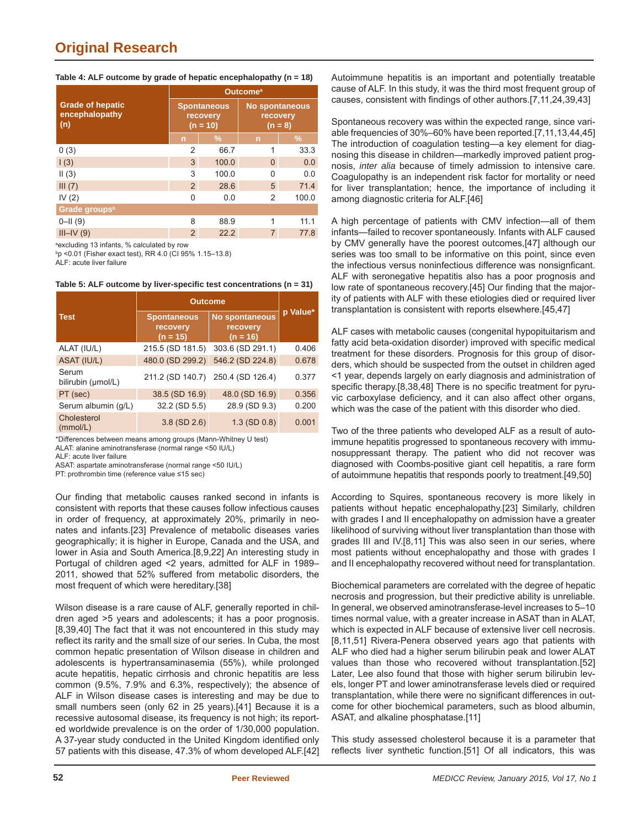| Table 4: ALF outcome by grade of hepatic encephalopathy (n = 18) |  |
|------------------------------------------------------------------|--|
|------------------------------------------------------------------|--|

| <b>Outcome</b> <sup>a</sup> |               |                                                |       |  |  |
|-----------------------------|---------------|------------------------------------------------|-------|--|--|
|                             |               | <b>No spontaneous</b><br>recovery<br>$(n = 8)$ |       |  |  |
| $\overline{n}$              | $\frac{9}{6}$ | $\overline{n}$                                 | $\%$  |  |  |
| $\mathfrak{p}$              | 66.7          | 1                                              | 33.3  |  |  |
| 3                           | 100.0         | $\Omega$                                       | 0.0   |  |  |
| 3                           | 100.0         | 0                                              | 0.0   |  |  |
| $\mathcal{P}$               | 28.6          | 5                                              | 71.4  |  |  |
| 0                           | 0.0           | 2                                              | 100.0 |  |  |
|                             |               |                                                |       |  |  |
| 8                           | 88.9          | 1                                              | 11.1  |  |  |
| 2                           | 22.2          | 7                                              | 77.8  |  |  |
|                             |               | <b>Spontaneous</b><br>recovery<br>$(n = 10)$   |       |  |  |

a excluding 13 infants, % calculated by row

b p <0.01 (Fisher exact test), RR 4.0 (CI 95% 1.15–13.8)

ALF: acute liver failure

**Table 5: ALF outcome by liver-specifi c test concentrations (n = 31)**

|                             | <b>Outcome</b>                               |                                                 |          |
|-----------------------------|----------------------------------------------|-------------------------------------------------|----------|
| <b>Test</b>                 | <b>Spontaneous</b><br>recovery<br>$(n = 15)$ | <b>No spontaneous</b><br>recovery<br>$(n = 16)$ | p Value* |
| ALAT (IU/L)                 | 215.5 (SD 181.5)                             | 303.6 (SD 291.1)                                | 0.406    |
| ASAT (IU/L)                 | 480.0 (SD 299.2)                             | 546.2 (SD 224.8)                                | 0.678    |
| Serum<br>bilirubin (µmol/L) |                                              | 211.2 (SD 140.7) 250.4 (SD 126.4)               | 0.377    |
| PT (sec)                    | 38.5 (SD 16.9)                               | 48.0 (SD 16.9)                                  | 0.356    |
| Serum albumin (g/L)         | 32.2 (SD 5.5)                                | 28.9 (SD 9.3)                                   | 0.200    |
| Cholesterol<br>(mmol/L)     | $3.8$ (SD $2.6$ )                            | $1.3$ (SD $0.8$ )                               | 0.001    |

\*Differences between means among groups (Mann-Whitney U test)

ALAT: alanine aminotransferase (normal range <50 IU/L)

ALF: acute liver failure

ASAT: aspartate aminotransferase (normal range <50 IU/L)

PT: prothrombin time (reference value ≤15 sec)

Our finding that metabolic causes ranked second in infants is consistent with reports that these causes follow infectious causes in order of frequency, at approximately 20%, primarily in neonates and infants.[23] Prevalence of metabolic diseases varies geographically; it is higher in Europe, Canada and the USA, and lower in Asia and South America.[8,9,22] An interesting study in Portugal of children aged <2 years, admitted for ALF in 1989– 2011, showed that 52% suffered from metabolic disorders, the most frequent of which were hereditary.[38]

Wilson disease is a rare cause of ALF, generally reported in children aged >5 years and adolescents; it has a poor prognosis. [8,39,40] The fact that it was not encountered in this study may reflect its rarity and the small size of our series. In Cuba, the most common hepatic presentation of Wilson disease in children and adolescents is hypertransaminasemia (55%), while prolonged acute hepatitis, hepatic cirrhosis and chronic hepatitis are less common (9.5%, 7.9% and 6.3%, respectively); the absence of ALF in Wilson disease cases is interesting and may be due to small numbers seen (only 62 in 25 years).[41] Because it is a recessive autosomal disease, its frequency is not high; its reported worldwide prevalence is on the order of 1/30,000 population. A 37-year study conducted in the United Kingdom identified only 57 patients with this disease, 47.3% of whom developed ALF.[42] Autoimmune hepatitis is an important and potentially treatable cause of ALF. In this study, it was the third most frequent group of causes, consistent with findings of other authors.[7,11,24,39,43]

Spontaneous recovery was within the expected range, since variable frequencies of 30%–60% have been reported.[7,11,13,44,45] The introduction of coagulation testing—a key element for diagnosing this disease in children—markedly improved patient prognosis, *inter alia* because of timely admission to intensive care. Coagulopathy is an independent risk factor for mortality or need for liver transplantation; hence, the importance of including it among diagnostic criteria for ALF.[46]

A high percentage of patients with CMV infection—all of them infants—failed to recover spontaneously. Infants with ALF caused by CMV generally have the poorest outcomes,[47] although our series was too small to be informative on this point, since even the infectious versus noninfectious difference was nonsignficant. ALF with seronegative hepatitis also has a poor prognosis and low rate of spontaneous recovery.[45] Our finding that the majority of patients with ALF with these etiologies died or required liver transplantation is consistent with reports elsewhere.[45,47]

ALF cases with metabolic causes (congenital hypopituitarism and fatty acid beta-oxidation disorder) improved with specific medical treatment for these disorders. Prognosis for this group of disorders, which should be suspected from the outset in children aged <1 year, depends largely on early diagnosis and administration of specific therapy.[8,38,48] There is no specific treatment for pyruvic carboxylase deficiency, and it can also affect other organs, which was the case of the patient with this disorder who died.

Two of the three patients who developed ALF as a result of autoimmune hepatitis progressed to spontaneous recovery with immunosuppressant therapy. The patient who did not recover was diagnosed with Coombs-positive giant cell hepatitis, a rare form of autoimmune hepatitis that responds poorly to treatment.[49,50]

According to Squires, spontaneous recovery is more likely in patients without hepatic encephalopathy.[23] Similarly, children with grades I and II encephalopathy on admission have a greater likelihood of surviving without liver transplantation than those with grades III and IV.[8,11] This was also seen in our series, where most patients without encephalopathy and those with grades I and II encephalopathy recovered without need for transplantation.

Biochemical parameters are correlated with the degree of hepatic necrosis and progression, but their predictive ability is unreliable. In general, we observed aminotransferase-level increases to 5–10 times normal value, with a greater increase in ASAT than in ALAT, which is expected in ALF because of extensive liver cell necrosis. [8,11,51] Rivera-Penera observed years ago that patients with ALF who died had a higher serum bilirubin peak and lower ALAT values than those who recovered without transplantation.[52] Later, Lee also found that those with higher serum bilirubin levels, longer PT and lower aminotransferase levels died or required transplantation, while there were no significant differences in outcome for other biochemical parameters, such as blood albumin, ASAT, and alkaline phosphatase.[11]

This study assessed cholesterol because it is a parameter that reflects liver synthetic function.[51] Of all indicators, this was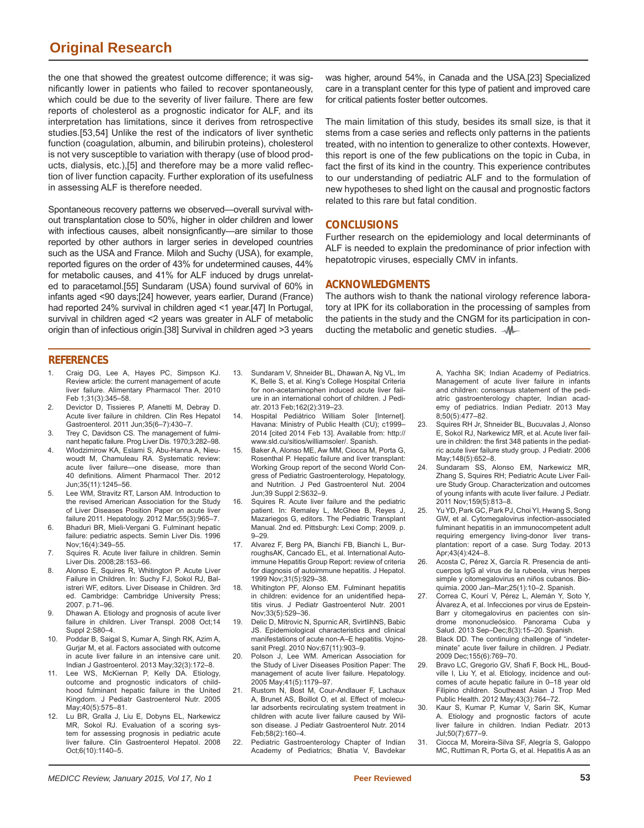## **Original Research**

the one that showed the greatest outcome difference; it was significantly lower in patients who failed to recover spontaneously, which could be due to the severity of liver failure. There are few reports of cholesterol as a prognostic indicator for ALF, and its interpretation has limitations, since it derives from retrospective studies.[53,54] Unlike the rest of the indicators of liver synthetic function (coagulation, albumin, and bilirubin proteins), cholesterol is not very susceptible to variation with therapy (use of blood products, dialysis, etc.),[5] and therefore may be a more valid reflection of liver function capacity. Further exploration of its usefulness in assessing ALF is therefore needed.

Spontaneous recovery patterns we observed—overall survival without transplantation close to 50%, higher in older children and lower with infectious causes, albeit nonsignficantly—are similar to those reported by other authors in larger series in developed countries such as the USA and France. Miloh and Suchy (USA), for example, reported figures on the order of 43% for undetermined causes, 44% for metabolic causes, and 41% for ALF induced by drugs unrelated to paracetamol.[55] Sundaram (USA) found survival of 60% in infants aged <90 days;[24] however, years earlier, Durand (France) had reported 24% survival in children aged <1 year.[47] In Portugal, survival in children aged <2 years was greater in ALF of metabolic origin than of infectious origin.[38] Survival in children aged >3 years

was higher, around 54%, in Canada and the USA.[23] Specialized care in a transplant center for this type of patient and improved care for critical patients foster better outcomes.

The main limitation of this study, besides its small size, is that it stems from a case series and reflects only patterns in the patients treated, with no intention to generalize to other contexts. However, this report is one of the few publications on the topic in Cuba, in fact the first of its kind in the country. This experience contributes to our understanding of pediatric ALF and to the formulation of new hypotheses to shed light on the causal and prognostic factors related to this rare but fatal condition.

### **CONCLUSIONS**

Further research on the epidemiology and local determinants of ALF is needed to explain the predominance of prior infection with hepatotropic viruses, especially CMV in infants.

#### **ACKNOWLEDGMENTS**

The authors wish to thank the national virology reference laboratory at IPK for its collaboration in the processing of samples from the patients in the study and the CNGM for its participation in conducting the metabolic and genetic studies.  $\mathcal{M}$ 

### **REFERENCES**

- 1. Craig DG, Lee A, Hayes PC, Simpson KJ. Review article: the current management of acute liver failure. Alimentary Pharmacol Ther. 2010 Feb 1;31(3):345–58.
- 2. Devictor D, Tissieres P, Afanetti M, Debray D. Acute liver failure in children. Clin Res Hepatol Gastroenterol. 2011 Jun;35(6–7):430–7.
- 3. Trey C, Davidson CS. The management of fulminant hepatic failure. Prog Liver Dis. 1970;3:282–98.
- 4. Wlodzimirow KA, Eslami S, Abu-Hanna A, Nieuwoudt M, Chamuleau RA. Systematic review: acute liver failure—one disease, more than 40 definitions. Aliment Pharmacol Ther. 2012 Jun;35(11):1245–56.
- 5. Lee WM, Stravitz RT, Larson AM. Introduction to the revised American Association for the Study of Liver Diseases Position Paper on acute liver failure 2011. Hepatology. 2012 Mar;55(3):965–7.
- 6. Bhaduri BR, Mieli-Vergani G. Fulminant hepatic failure: pediatric aspects. Semin Liver Dis. 1996 Nov;16(4):349–55.
- 7. Squires R. Acute liver failure in children. Semin Liver Dis. 2008;28:153–66.
- 8. Alonso E, Squires R, Whitington P. Acute Liver Failure in Children. In: Suchy FJ, Sokol RJ, Balistreri WF, editors. Liver Disease in Children. 3rd ed. Cambridge: Cambridge University Press; 2007. p.71–96.
- 9. Dhawan A. Etiology and prognosis of acute liver failure in children. Liver Transpl. 2008 Oct;14 Suppl 2:S80–4.
- 10. Poddar B, Saigal S, Kumar A, Singh RK, Azim A, Gurjar M, et al. Factors associated with outcome in acute liver failure in an intensive care unit. Indian J Gastroenterol. 2013 May;32(3):172–8.
- 11. Lee WS, McKiernan P, Kelly DA. Etiology, outcome and prognostic indicators of childhood fulminant hepatic failure in the United Kingdom. J Pediatr Gastroenterol Nutr. 2005 May;40(5):575–81.
- 12. Lu BR, Gralla J, Liu E, Dobyns EL, Narkewicz MR, Sokol RJ. Evaluation of a scoring system for assessing prognosis in pediatric acute liver failure. Clin Gastroenterol Hepatol. 2008 Oct;6(10):1140–5.
- 13. Sundaram V, Shneider BL, Dhawan A, Ng VL, Im K, Belle S, et al. King's College Hospital Criteria for non-acetaminophen induced acute liver failure in an international cohort of children. J Pediatr. 2013 Feb;162(2):319–23.
- 14. Hospital Pediátrico William Soler [Internet]. Havana: Ministry of Public Health (CU); c1999– 2014 [cited 2014 Feb 13]. Available from: http:// www.sld.cu/sitios/williamsoler/. Spanish.
- 15. Baker A, Alonso ME, Aw MM, Ciocca M, Porta G, Rosenthal P. Hepatic failure and liver transplant: Working Group report of the second World Congress of Pediatric Gastroenterology, Hepatology, and Nutrition. J Ped Gastroenterol Nut. 2004 Jun;39 Suppl 2:S632–9.
- 16. Squires R. Acute liver failure and the pediatric patient. In: Remaley L, McGhee B, Reyes J, Mazariegos G, editors. The Pediatric Transplant Manual. 2nd ed. Pittsburgh: Lexi Comp; 2009. p. 9–29.
- 17. Alvarez F, Berg PA, Bianchi FB, Bianchi L, BurroughsAK, Cancado EL, et al. International Autoimmune Hepatitis Group Report: review of criteria for diagnosis of autoimmune hepatitis. J Hepatol. 1999 Nov;31(5):929–38.
- 18. Whitington PF, Alonso EM. Fulminant hepatitis in children: evidence for an unidentified hepatitis virus. J Pediatr Gastroenterol Nutr. 2001 Nov;33(5):529–36.
- 19. Delic D, Mitrovic N, Spurnic AR, SvirtlihNS, Babic JS. Epidemiological characteristics and clinical manifestations of acute non-A–E hepatitis. Vojnosanit Pregl. 2010 Nov;67(11):903–9.
- 20. Polson J, Lee WM. American Association for the Study of Liver Diseases Position Paper: The management of acute liver failure. Hepatology. 2005 May;41(5):1179–97.
- 21. Rustom N, Bost M, Cour-Andlauer F, Lachaux A, Brunet AS, Boillot O, et al. Effect of molecular adsorbents recirculating system treatment in children with acute liver failure caused by Wilson disease. J Pediatr Gastroenterol Nutr. 2014 Feb;58(2):160–4.
- 22. Pediatric Gastroenterology Chapter of Indian Academy of Pediatrics; Bhatia V, Bavdekar

A, Yachha SK; Indian Academy of Pediatrics. Management of acute liver failure in infants and children: consensus statement of the pediatric gastroenterology chapter, Indian academy of pediatrics. Indian Pediatr. 2013 May 8;50(5):477–82.

- 23. Squires RH Jr, Shneider BL, Bucuvalas J, Alonso E, Sokol RJ, Narkewicz MR, et al. Acute liver failure in children: the first 348 patients in the pediatric acute liver failure study group. J Pediatr. 2006 May;148(5):652–8.
- 24. Sundaram SS, Alonso EM, Narkewicz MR, Zhang S, Squires RH; Pediatric Acute Liver Failure Study Group. Characterization and outcomes of young infants with acute liver failure. J Pediatr. 2011 Nov;159(5):813–8.
- 25. Yu YD, Park GC, Park PJ, Choi YI, Hwang S, Song GW, et al. Cytomegalovirus infection-associated fulminant hepatitis in an immunocompetent adult requiring emergency living-donor liver transplantation: report of a case. Surg Today. 2013 Apr;43(4):424–8.
- 26. Acosta C, Pérez X, García R. Presencia de anticuerpos IgG al virus de la rubeola, virus herpes simple y citomegalovirus en niños cubanos. Bioquimia. 2000 Jan–Mar;25(1):10–2. Spanish.
- 27. Correa C, Kourí V, Pérez L, Alemán Y, Soto Y, Álvarez A, et al. Infecciones por virus de Epstein-Barr y citomegalovirus en pacientes con síndrome mononucleósico. Panorama Cuba y Salud. 2013 Sep–Dec;8(3):15–20. Spanish.
- 28. Black DD. The continuing challenge of "indeterminate" acute liver failure in children. J Pediatr. 2009 Dec;155(6):769–70.
- 29. Bravo LC, Gregorio GV, Shafi F, Bock HL, Boudville I, Liu Y, et al. Etiology, incidence and outcomes of acute hepatic failure in 0–18 year old Filipino children. Southeast Asian J Trop Med Public Health. 2012 May;43(3):764–72.
- 30. Kaur S, Kumar P, Kumar V, Sarin SK, Kumar A. Etiology and prognostic factors of acute liver failure in children. Indian Pediatr. 2013 Jul;50(7):677–9.
- 31. Ciocca M, Moreira-Silva SF, Alegría S, Galoppo MC, Ruttiman R, Porta G, et al. Hepatitis A as an